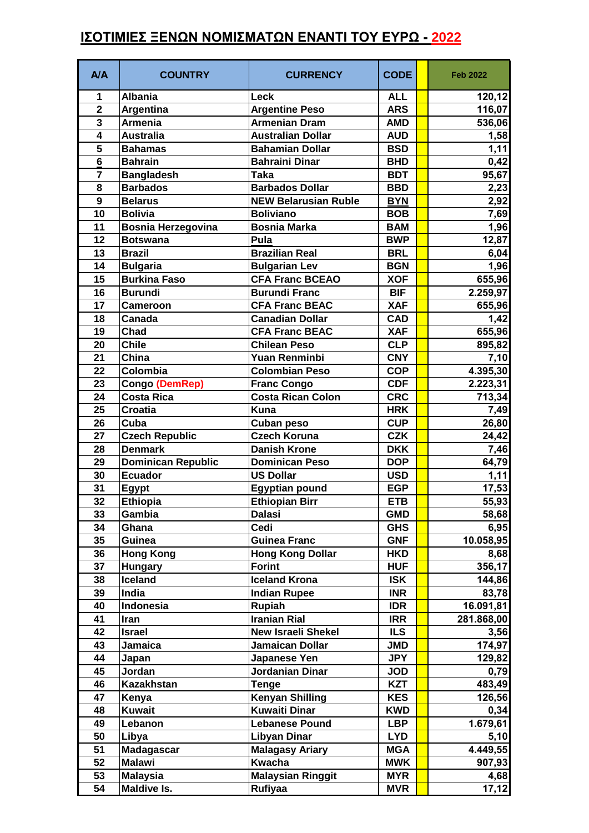## **ΙΣΟΤΙΜΙΕΣ ΞΕΝΩΝ ΝΟΜΙΣΜΑΤΩΝ ΕΝΑΝΤΙ ΤΟΥ ΕΥΡΩ - 2022**

| <b>Albania</b><br>Leck<br><b>ALL</b><br>120,12<br>1<br>$\overline{\mathbf{2}}$<br><b>Argentine Peso</b><br><b>ARS</b><br>116,07<br>Argentina<br>3<br><b>Armenian Dram</b><br><b>Armenia</b><br><b>AMD</b><br>536,06<br>$\overline{\mathbf{4}}$<br><b>Australia</b><br><b>Australian Dollar</b><br><b>AUD</b><br>1,58<br>5<br><b>Bahamian Dollar</b><br><b>Bahamas</b><br><b>BSD</b><br>1,11<br>$6\phantom{1}$<br><b>Bahrain</b><br><b>Bahraini Dinar</b><br><b>BHD</b><br>0,42<br>95,67<br>$\overline{7}$<br><b>Bangladesh</b><br><b>BDT</b><br>Taka<br><b>Barbados</b><br><b>Barbados Dollar</b><br>8<br><b>BBD</b><br>2,23<br>9<br><b>NEW Belarusian Ruble</b><br>2,92<br><b>Belarus</b><br><b>BYN</b><br>10<br><b>Boliviano</b><br><b>Bolivia</b><br><b>BOB</b><br>7,69<br>11<br><b>Bosnia Herzegovina</b><br>1,96<br><b>Bosnia Marka</b><br><b>BAM</b><br>12,87<br>12<br><b>BWP</b><br>Pula<br><b>Botswana</b><br>13<br><b>Brazilian Real</b><br><b>Brazil</b><br><b>BRL</b><br>6,04<br>1,96<br>14<br><b>Bulgaria</b><br><b>Bulgarian Lev</b><br><b>BGN</b><br><b>Burkina Faso</b><br><b>CFA Franc BCEAO</b><br>15<br><b>XOF</b><br>655,96<br>16<br><b>Burundi</b><br><b>Burundi Franc</b><br><b>BIF</b><br>2.259,97<br>17<br><b>CFA Franc BEAC</b><br><b>XAF</b><br>655,96<br><b>Cameroon</b><br>1,42<br>18<br><b>Canadian Dollar</b><br><b>CAD</b><br>Canada<br>19<br>Chad<br><b>CFA Franc BEAC</b><br><b>XAF</b><br>655,96<br><b>Chile</b><br><b>Chilean Peso</b><br>20<br><b>CLP</b><br>895,82<br>21<br>China<br>Yuan Renminbi<br><b>CNY</b><br>7,10<br>Colombia<br><b>Colombian Peso</b><br>4.395,30<br>22<br><b>COP</b><br>23<br><b>CDF</b><br>2.223,31<br>Congo (DemRep)<br><b>Franc Congo</b><br><b>Costa Rica</b><br><b>Costa Rican Colon</b><br>24<br><b>CRC</b><br>713,34<br>25<br><b>Croatia</b><br><b>Kuna</b><br><b>HRK</b><br>7,49<br>26<br>Cuba<br><b>CUP</b><br>26,80<br>Cuban peso<br><b>CZK</b><br>27<br><b>Czech Republic</b><br><b>Czech Koruna</b><br>24,42<br>28<br><b>Danish Krone</b><br><b>DKK</b><br>7,46<br><b>Denmark</b><br><b>Dominican Republic</b><br><b>Dominican Peso</b><br>29<br><b>DOP</b><br>64,79<br>30<br><b>Ecuador</b><br><b>US Dollar</b><br>1,11<br><b>USD</b><br>31<br><b>EGP</b><br><b>Egyptian pound</b><br>17,53<br><b>Egypt</b><br>55,93<br>32<br><b>ETB</b><br><b>Ethiopia</b><br><b>Ethiopian Birr</b><br>33<br>58,68<br><b>GMD</b><br>Gambia<br>Dalasi<br>6,95<br>34<br>Cedi<br><b>GHS</b><br>Ghana<br>Guinea<br>35<br><b>Guinea Franc</b><br>10.058,95<br><b>GNF</b><br>36<br><b>Hong Kong</b><br><b>Hong Kong Dollar</b><br><b>HKD</b><br>8,68<br>37<br><b>Forint</b><br><b>HUF</b><br>356,17<br><b>Hungary</b><br>38<br>Iceland<br><b>Iceland Krona</b><br><b>ISK</b><br>144,86<br><b>Indian Rupee</b><br>39<br>India<br><b>INR</b><br>83,78<br><b>Rupiah</b><br>40<br>Indonesia<br><b>IDR</b><br>16.091,81<br><b>Iranian Rial</b><br>41<br><b>IRR</b><br>281.868,00<br>Iran<br>42<br><b>New Israeli Shekel</b><br><b>ILS</b><br>3,56<br><b>Israel</b><br>43<br>174,97<br>Jamaican Dollar<br><b>JMD</b><br>Jamaica<br>129,82<br>44<br>Japanese Yen<br><b>JPY</b><br>Japan<br>Jordan<br>Jordanian Dinar<br>45<br><b>JOD</b><br>0,79<br>46<br><b>Kazakhstan</b><br><b>KZT</b><br>483,49<br>Tenge<br><b>Kenyan Shilling</b><br>47<br><b>KES</b><br>Kenya<br>126,56<br><b>Kuwait</b><br><b>Kuwaiti Dinar</b><br>48<br><b>KWD</b><br>0,34<br>49<br>1.679,61<br><b>Lebanese Pound</b><br><b>LBP</b><br>Lebanon<br><b>Libyan Dinar</b><br>50<br>Libya<br><b>LYD</b><br>5,10<br>51<br>Madagascar<br><b>Malagasy Ariary</b><br>4.449,55<br><b>MGA</b><br>52<br><b>Malawi</b><br>Kwacha<br><b>MWK</b><br>907,93<br>53<br><b>Malaysian Ringgit</b><br><b>Malaysia</b><br><b>MYR</b><br>4,68<br>Maldive Is.<br>Rufiyaa<br>54<br><b>MVR</b> | <b>A/A</b> | <b>COUNTRY</b> | <b>CURRENCY</b> | <b>CODE</b> | <b>Feb 2022</b> |
|--------------------------------------------------------------------------------------------------------------------------------------------------------------------------------------------------------------------------------------------------------------------------------------------------------------------------------------------------------------------------------------------------------------------------------------------------------------------------------------------------------------------------------------------------------------------------------------------------------------------------------------------------------------------------------------------------------------------------------------------------------------------------------------------------------------------------------------------------------------------------------------------------------------------------------------------------------------------------------------------------------------------------------------------------------------------------------------------------------------------------------------------------------------------------------------------------------------------------------------------------------------------------------------------------------------------------------------------------------------------------------------------------------------------------------------------------------------------------------------------------------------------------------------------------------------------------------------------------------------------------------------------------------------------------------------------------------------------------------------------------------------------------------------------------------------------------------------------------------------------------------------------------------------------------------------------------------------------------------------------------------------------------------------------------------------------------------------------------------------------------------------------------------------------------------------------------------------------------------------------------------------------------------------------------------------------------------------------------------------------------------------------------------------------------------------------------------------------------------------------------------------------------------------------------------------------------------------------------------------------------------------------------------------------------------------------------------------------------------------------------------------------------------------------------------------------------------------------------------------------------------------------------------------------------------------------------------------------------------------------------------------------------------------------------------------------------------------------------------------------------------------------------------------------------------------------------------------------------------------------------------------------------------------------------------------------------------------------------------------------------------------------------------------------------------------------------------------------------------------------------------------------------------------------------------------------------------------------------------------------------------------------------------------------------------------------------------------------------------------------------------------------------------------------|------------|----------------|-----------------|-------------|-----------------|
|                                                                                                                                                                                                                                                                                                                                                                                                                                                                                                                                                                                                                                                                                                                                                                                                                                                                                                                                                                                                                                                                                                                                                                                                                                                                                                                                                                                                                                                                                                                                                                                                                                                                                                                                                                                                                                                                                                                                                                                                                                                                                                                                                                                                                                                                                                                                                                                                                                                                                                                                                                                                                                                                                                                                                                                                                                                                                                                                                                                                                                                                                                                                                                                                                                                                                                                                                                                                                                                                                                                                                                                                                                                                                                                                                                                            |            |                |                 |             |                 |
|                                                                                                                                                                                                                                                                                                                                                                                                                                                                                                                                                                                                                                                                                                                                                                                                                                                                                                                                                                                                                                                                                                                                                                                                                                                                                                                                                                                                                                                                                                                                                                                                                                                                                                                                                                                                                                                                                                                                                                                                                                                                                                                                                                                                                                                                                                                                                                                                                                                                                                                                                                                                                                                                                                                                                                                                                                                                                                                                                                                                                                                                                                                                                                                                                                                                                                                                                                                                                                                                                                                                                                                                                                                                                                                                                                                            |            |                |                 |             |                 |
| 17,12                                                                                                                                                                                                                                                                                                                                                                                                                                                                                                                                                                                                                                                                                                                                                                                                                                                                                                                                                                                                                                                                                                                                                                                                                                                                                                                                                                                                                                                                                                                                                                                                                                                                                                                                                                                                                                                                                                                                                                                                                                                                                                                                                                                                                                                                                                                                                                                                                                                                                                                                                                                                                                                                                                                                                                                                                                                                                                                                                                                                                                                                                                                                                                                                                                                                                                                                                                                                                                                                                                                                                                                                                                                                                                                                                                                      |            |                |                 |             |                 |
|                                                                                                                                                                                                                                                                                                                                                                                                                                                                                                                                                                                                                                                                                                                                                                                                                                                                                                                                                                                                                                                                                                                                                                                                                                                                                                                                                                                                                                                                                                                                                                                                                                                                                                                                                                                                                                                                                                                                                                                                                                                                                                                                                                                                                                                                                                                                                                                                                                                                                                                                                                                                                                                                                                                                                                                                                                                                                                                                                                                                                                                                                                                                                                                                                                                                                                                                                                                                                                                                                                                                                                                                                                                                                                                                                                                            |            |                |                 |             |                 |
|                                                                                                                                                                                                                                                                                                                                                                                                                                                                                                                                                                                                                                                                                                                                                                                                                                                                                                                                                                                                                                                                                                                                                                                                                                                                                                                                                                                                                                                                                                                                                                                                                                                                                                                                                                                                                                                                                                                                                                                                                                                                                                                                                                                                                                                                                                                                                                                                                                                                                                                                                                                                                                                                                                                                                                                                                                                                                                                                                                                                                                                                                                                                                                                                                                                                                                                                                                                                                                                                                                                                                                                                                                                                                                                                                                                            |            |                |                 |             |                 |
|                                                                                                                                                                                                                                                                                                                                                                                                                                                                                                                                                                                                                                                                                                                                                                                                                                                                                                                                                                                                                                                                                                                                                                                                                                                                                                                                                                                                                                                                                                                                                                                                                                                                                                                                                                                                                                                                                                                                                                                                                                                                                                                                                                                                                                                                                                                                                                                                                                                                                                                                                                                                                                                                                                                                                                                                                                                                                                                                                                                                                                                                                                                                                                                                                                                                                                                                                                                                                                                                                                                                                                                                                                                                                                                                                                                            |            |                |                 |             |                 |
|                                                                                                                                                                                                                                                                                                                                                                                                                                                                                                                                                                                                                                                                                                                                                                                                                                                                                                                                                                                                                                                                                                                                                                                                                                                                                                                                                                                                                                                                                                                                                                                                                                                                                                                                                                                                                                                                                                                                                                                                                                                                                                                                                                                                                                                                                                                                                                                                                                                                                                                                                                                                                                                                                                                                                                                                                                                                                                                                                                                                                                                                                                                                                                                                                                                                                                                                                                                                                                                                                                                                                                                                                                                                                                                                                                                            |            |                |                 |             |                 |
|                                                                                                                                                                                                                                                                                                                                                                                                                                                                                                                                                                                                                                                                                                                                                                                                                                                                                                                                                                                                                                                                                                                                                                                                                                                                                                                                                                                                                                                                                                                                                                                                                                                                                                                                                                                                                                                                                                                                                                                                                                                                                                                                                                                                                                                                                                                                                                                                                                                                                                                                                                                                                                                                                                                                                                                                                                                                                                                                                                                                                                                                                                                                                                                                                                                                                                                                                                                                                                                                                                                                                                                                                                                                                                                                                                                            |            |                |                 |             |                 |
|                                                                                                                                                                                                                                                                                                                                                                                                                                                                                                                                                                                                                                                                                                                                                                                                                                                                                                                                                                                                                                                                                                                                                                                                                                                                                                                                                                                                                                                                                                                                                                                                                                                                                                                                                                                                                                                                                                                                                                                                                                                                                                                                                                                                                                                                                                                                                                                                                                                                                                                                                                                                                                                                                                                                                                                                                                                                                                                                                                                                                                                                                                                                                                                                                                                                                                                                                                                                                                                                                                                                                                                                                                                                                                                                                                                            |            |                |                 |             |                 |
|                                                                                                                                                                                                                                                                                                                                                                                                                                                                                                                                                                                                                                                                                                                                                                                                                                                                                                                                                                                                                                                                                                                                                                                                                                                                                                                                                                                                                                                                                                                                                                                                                                                                                                                                                                                                                                                                                                                                                                                                                                                                                                                                                                                                                                                                                                                                                                                                                                                                                                                                                                                                                                                                                                                                                                                                                                                                                                                                                                                                                                                                                                                                                                                                                                                                                                                                                                                                                                                                                                                                                                                                                                                                                                                                                                                            |            |                |                 |             |                 |
|                                                                                                                                                                                                                                                                                                                                                                                                                                                                                                                                                                                                                                                                                                                                                                                                                                                                                                                                                                                                                                                                                                                                                                                                                                                                                                                                                                                                                                                                                                                                                                                                                                                                                                                                                                                                                                                                                                                                                                                                                                                                                                                                                                                                                                                                                                                                                                                                                                                                                                                                                                                                                                                                                                                                                                                                                                                                                                                                                                                                                                                                                                                                                                                                                                                                                                                                                                                                                                                                                                                                                                                                                                                                                                                                                                                            |            |                |                 |             |                 |
|                                                                                                                                                                                                                                                                                                                                                                                                                                                                                                                                                                                                                                                                                                                                                                                                                                                                                                                                                                                                                                                                                                                                                                                                                                                                                                                                                                                                                                                                                                                                                                                                                                                                                                                                                                                                                                                                                                                                                                                                                                                                                                                                                                                                                                                                                                                                                                                                                                                                                                                                                                                                                                                                                                                                                                                                                                                                                                                                                                                                                                                                                                                                                                                                                                                                                                                                                                                                                                                                                                                                                                                                                                                                                                                                                                                            |            |                |                 |             |                 |
|                                                                                                                                                                                                                                                                                                                                                                                                                                                                                                                                                                                                                                                                                                                                                                                                                                                                                                                                                                                                                                                                                                                                                                                                                                                                                                                                                                                                                                                                                                                                                                                                                                                                                                                                                                                                                                                                                                                                                                                                                                                                                                                                                                                                                                                                                                                                                                                                                                                                                                                                                                                                                                                                                                                                                                                                                                                                                                                                                                                                                                                                                                                                                                                                                                                                                                                                                                                                                                                                                                                                                                                                                                                                                                                                                                                            |            |                |                 |             |                 |
|                                                                                                                                                                                                                                                                                                                                                                                                                                                                                                                                                                                                                                                                                                                                                                                                                                                                                                                                                                                                                                                                                                                                                                                                                                                                                                                                                                                                                                                                                                                                                                                                                                                                                                                                                                                                                                                                                                                                                                                                                                                                                                                                                                                                                                                                                                                                                                                                                                                                                                                                                                                                                                                                                                                                                                                                                                                                                                                                                                                                                                                                                                                                                                                                                                                                                                                                                                                                                                                                                                                                                                                                                                                                                                                                                                                            |            |                |                 |             |                 |
|                                                                                                                                                                                                                                                                                                                                                                                                                                                                                                                                                                                                                                                                                                                                                                                                                                                                                                                                                                                                                                                                                                                                                                                                                                                                                                                                                                                                                                                                                                                                                                                                                                                                                                                                                                                                                                                                                                                                                                                                                                                                                                                                                                                                                                                                                                                                                                                                                                                                                                                                                                                                                                                                                                                                                                                                                                                                                                                                                                                                                                                                                                                                                                                                                                                                                                                                                                                                                                                                                                                                                                                                                                                                                                                                                                                            |            |                |                 |             |                 |
|                                                                                                                                                                                                                                                                                                                                                                                                                                                                                                                                                                                                                                                                                                                                                                                                                                                                                                                                                                                                                                                                                                                                                                                                                                                                                                                                                                                                                                                                                                                                                                                                                                                                                                                                                                                                                                                                                                                                                                                                                                                                                                                                                                                                                                                                                                                                                                                                                                                                                                                                                                                                                                                                                                                                                                                                                                                                                                                                                                                                                                                                                                                                                                                                                                                                                                                                                                                                                                                                                                                                                                                                                                                                                                                                                                                            |            |                |                 |             |                 |
|                                                                                                                                                                                                                                                                                                                                                                                                                                                                                                                                                                                                                                                                                                                                                                                                                                                                                                                                                                                                                                                                                                                                                                                                                                                                                                                                                                                                                                                                                                                                                                                                                                                                                                                                                                                                                                                                                                                                                                                                                                                                                                                                                                                                                                                                                                                                                                                                                                                                                                                                                                                                                                                                                                                                                                                                                                                                                                                                                                                                                                                                                                                                                                                                                                                                                                                                                                                                                                                                                                                                                                                                                                                                                                                                                                                            |            |                |                 |             |                 |
|                                                                                                                                                                                                                                                                                                                                                                                                                                                                                                                                                                                                                                                                                                                                                                                                                                                                                                                                                                                                                                                                                                                                                                                                                                                                                                                                                                                                                                                                                                                                                                                                                                                                                                                                                                                                                                                                                                                                                                                                                                                                                                                                                                                                                                                                                                                                                                                                                                                                                                                                                                                                                                                                                                                                                                                                                                                                                                                                                                                                                                                                                                                                                                                                                                                                                                                                                                                                                                                                                                                                                                                                                                                                                                                                                                                            |            |                |                 |             |                 |
|                                                                                                                                                                                                                                                                                                                                                                                                                                                                                                                                                                                                                                                                                                                                                                                                                                                                                                                                                                                                                                                                                                                                                                                                                                                                                                                                                                                                                                                                                                                                                                                                                                                                                                                                                                                                                                                                                                                                                                                                                                                                                                                                                                                                                                                                                                                                                                                                                                                                                                                                                                                                                                                                                                                                                                                                                                                                                                                                                                                                                                                                                                                                                                                                                                                                                                                                                                                                                                                                                                                                                                                                                                                                                                                                                                                            |            |                |                 |             |                 |
|                                                                                                                                                                                                                                                                                                                                                                                                                                                                                                                                                                                                                                                                                                                                                                                                                                                                                                                                                                                                                                                                                                                                                                                                                                                                                                                                                                                                                                                                                                                                                                                                                                                                                                                                                                                                                                                                                                                                                                                                                                                                                                                                                                                                                                                                                                                                                                                                                                                                                                                                                                                                                                                                                                                                                                                                                                                                                                                                                                                                                                                                                                                                                                                                                                                                                                                                                                                                                                                                                                                                                                                                                                                                                                                                                                                            |            |                |                 |             |                 |
|                                                                                                                                                                                                                                                                                                                                                                                                                                                                                                                                                                                                                                                                                                                                                                                                                                                                                                                                                                                                                                                                                                                                                                                                                                                                                                                                                                                                                                                                                                                                                                                                                                                                                                                                                                                                                                                                                                                                                                                                                                                                                                                                                                                                                                                                                                                                                                                                                                                                                                                                                                                                                                                                                                                                                                                                                                                                                                                                                                                                                                                                                                                                                                                                                                                                                                                                                                                                                                                                                                                                                                                                                                                                                                                                                                                            |            |                |                 |             |                 |
|                                                                                                                                                                                                                                                                                                                                                                                                                                                                                                                                                                                                                                                                                                                                                                                                                                                                                                                                                                                                                                                                                                                                                                                                                                                                                                                                                                                                                                                                                                                                                                                                                                                                                                                                                                                                                                                                                                                                                                                                                                                                                                                                                                                                                                                                                                                                                                                                                                                                                                                                                                                                                                                                                                                                                                                                                                                                                                                                                                                                                                                                                                                                                                                                                                                                                                                                                                                                                                                                                                                                                                                                                                                                                                                                                                                            |            |                |                 |             |                 |
|                                                                                                                                                                                                                                                                                                                                                                                                                                                                                                                                                                                                                                                                                                                                                                                                                                                                                                                                                                                                                                                                                                                                                                                                                                                                                                                                                                                                                                                                                                                                                                                                                                                                                                                                                                                                                                                                                                                                                                                                                                                                                                                                                                                                                                                                                                                                                                                                                                                                                                                                                                                                                                                                                                                                                                                                                                                                                                                                                                                                                                                                                                                                                                                                                                                                                                                                                                                                                                                                                                                                                                                                                                                                                                                                                                                            |            |                |                 |             |                 |
|                                                                                                                                                                                                                                                                                                                                                                                                                                                                                                                                                                                                                                                                                                                                                                                                                                                                                                                                                                                                                                                                                                                                                                                                                                                                                                                                                                                                                                                                                                                                                                                                                                                                                                                                                                                                                                                                                                                                                                                                                                                                                                                                                                                                                                                                                                                                                                                                                                                                                                                                                                                                                                                                                                                                                                                                                                                                                                                                                                                                                                                                                                                                                                                                                                                                                                                                                                                                                                                                                                                                                                                                                                                                                                                                                                                            |            |                |                 |             |                 |
|                                                                                                                                                                                                                                                                                                                                                                                                                                                                                                                                                                                                                                                                                                                                                                                                                                                                                                                                                                                                                                                                                                                                                                                                                                                                                                                                                                                                                                                                                                                                                                                                                                                                                                                                                                                                                                                                                                                                                                                                                                                                                                                                                                                                                                                                                                                                                                                                                                                                                                                                                                                                                                                                                                                                                                                                                                                                                                                                                                                                                                                                                                                                                                                                                                                                                                                                                                                                                                                                                                                                                                                                                                                                                                                                                                                            |            |                |                 |             |                 |
|                                                                                                                                                                                                                                                                                                                                                                                                                                                                                                                                                                                                                                                                                                                                                                                                                                                                                                                                                                                                                                                                                                                                                                                                                                                                                                                                                                                                                                                                                                                                                                                                                                                                                                                                                                                                                                                                                                                                                                                                                                                                                                                                                                                                                                                                                                                                                                                                                                                                                                                                                                                                                                                                                                                                                                                                                                                                                                                                                                                                                                                                                                                                                                                                                                                                                                                                                                                                                                                                                                                                                                                                                                                                                                                                                                                            |            |                |                 |             |                 |
|                                                                                                                                                                                                                                                                                                                                                                                                                                                                                                                                                                                                                                                                                                                                                                                                                                                                                                                                                                                                                                                                                                                                                                                                                                                                                                                                                                                                                                                                                                                                                                                                                                                                                                                                                                                                                                                                                                                                                                                                                                                                                                                                                                                                                                                                                                                                                                                                                                                                                                                                                                                                                                                                                                                                                                                                                                                                                                                                                                                                                                                                                                                                                                                                                                                                                                                                                                                                                                                                                                                                                                                                                                                                                                                                                                                            |            |                |                 |             |                 |
|                                                                                                                                                                                                                                                                                                                                                                                                                                                                                                                                                                                                                                                                                                                                                                                                                                                                                                                                                                                                                                                                                                                                                                                                                                                                                                                                                                                                                                                                                                                                                                                                                                                                                                                                                                                                                                                                                                                                                                                                                                                                                                                                                                                                                                                                                                                                                                                                                                                                                                                                                                                                                                                                                                                                                                                                                                                                                                                                                                                                                                                                                                                                                                                                                                                                                                                                                                                                                                                                                                                                                                                                                                                                                                                                                                                            |            |                |                 |             |                 |
|                                                                                                                                                                                                                                                                                                                                                                                                                                                                                                                                                                                                                                                                                                                                                                                                                                                                                                                                                                                                                                                                                                                                                                                                                                                                                                                                                                                                                                                                                                                                                                                                                                                                                                                                                                                                                                                                                                                                                                                                                                                                                                                                                                                                                                                                                                                                                                                                                                                                                                                                                                                                                                                                                                                                                                                                                                                                                                                                                                                                                                                                                                                                                                                                                                                                                                                                                                                                                                                                                                                                                                                                                                                                                                                                                                                            |            |                |                 |             |                 |
|                                                                                                                                                                                                                                                                                                                                                                                                                                                                                                                                                                                                                                                                                                                                                                                                                                                                                                                                                                                                                                                                                                                                                                                                                                                                                                                                                                                                                                                                                                                                                                                                                                                                                                                                                                                                                                                                                                                                                                                                                                                                                                                                                                                                                                                                                                                                                                                                                                                                                                                                                                                                                                                                                                                                                                                                                                                                                                                                                                                                                                                                                                                                                                                                                                                                                                                                                                                                                                                                                                                                                                                                                                                                                                                                                                                            |            |                |                 |             |                 |
|                                                                                                                                                                                                                                                                                                                                                                                                                                                                                                                                                                                                                                                                                                                                                                                                                                                                                                                                                                                                                                                                                                                                                                                                                                                                                                                                                                                                                                                                                                                                                                                                                                                                                                                                                                                                                                                                                                                                                                                                                                                                                                                                                                                                                                                                                                                                                                                                                                                                                                                                                                                                                                                                                                                                                                                                                                                                                                                                                                                                                                                                                                                                                                                                                                                                                                                                                                                                                                                                                                                                                                                                                                                                                                                                                                                            |            |                |                 |             |                 |
|                                                                                                                                                                                                                                                                                                                                                                                                                                                                                                                                                                                                                                                                                                                                                                                                                                                                                                                                                                                                                                                                                                                                                                                                                                                                                                                                                                                                                                                                                                                                                                                                                                                                                                                                                                                                                                                                                                                                                                                                                                                                                                                                                                                                                                                                                                                                                                                                                                                                                                                                                                                                                                                                                                                                                                                                                                                                                                                                                                                                                                                                                                                                                                                                                                                                                                                                                                                                                                                                                                                                                                                                                                                                                                                                                                                            |            |                |                 |             |                 |
|                                                                                                                                                                                                                                                                                                                                                                                                                                                                                                                                                                                                                                                                                                                                                                                                                                                                                                                                                                                                                                                                                                                                                                                                                                                                                                                                                                                                                                                                                                                                                                                                                                                                                                                                                                                                                                                                                                                                                                                                                                                                                                                                                                                                                                                                                                                                                                                                                                                                                                                                                                                                                                                                                                                                                                                                                                                                                                                                                                                                                                                                                                                                                                                                                                                                                                                                                                                                                                                                                                                                                                                                                                                                                                                                                                                            |            |                |                 |             |                 |
|                                                                                                                                                                                                                                                                                                                                                                                                                                                                                                                                                                                                                                                                                                                                                                                                                                                                                                                                                                                                                                                                                                                                                                                                                                                                                                                                                                                                                                                                                                                                                                                                                                                                                                                                                                                                                                                                                                                                                                                                                                                                                                                                                                                                                                                                                                                                                                                                                                                                                                                                                                                                                                                                                                                                                                                                                                                                                                                                                                                                                                                                                                                                                                                                                                                                                                                                                                                                                                                                                                                                                                                                                                                                                                                                                                                            |            |                |                 |             |                 |
|                                                                                                                                                                                                                                                                                                                                                                                                                                                                                                                                                                                                                                                                                                                                                                                                                                                                                                                                                                                                                                                                                                                                                                                                                                                                                                                                                                                                                                                                                                                                                                                                                                                                                                                                                                                                                                                                                                                                                                                                                                                                                                                                                                                                                                                                                                                                                                                                                                                                                                                                                                                                                                                                                                                                                                                                                                                                                                                                                                                                                                                                                                                                                                                                                                                                                                                                                                                                                                                                                                                                                                                                                                                                                                                                                                                            |            |                |                 |             |                 |
|                                                                                                                                                                                                                                                                                                                                                                                                                                                                                                                                                                                                                                                                                                                                                                                                                                                                                                                                                                                                                                                                                                                                                                                                                                                                                                                                                                                                                                                                                                                                                                                                                                                                                                                                                                                                                                                                                                                                                                                                                                                                                                                                                                                                                                                                                                                                                                                                                                                                                                                                                                                                                                                                                                                                                                                                                                                                                                                                                                                                                                                                                                                                                                                                                                                                                                                                                                                                                                                                                                                                                                                                                                                                                                                                                                                            |            |                |                 |             |                 |
|                                                                                                                                                                                                                                                                                                                                                                                                                                                                                                                                                                                                                                                                                                                                                                                                                                                                                                                                                                                                                                                                                                                                                                                                                                                                                                                                                                                                                                                                                                                                                                                                                                                                                                                                                                                                                                                                                                                                                                                                                                                                                                                                                                                                                                                                                                                                                                                                                                                                                                                                                                                                                                                                                                                                                                                                                                                                                                                                                                                                                                                                                                                                                                                                                                                                                                                                                                                                                                                                                                                                                                                                                                                                                                                                                                                            |            |                |                 |             |                 |
|                                                                                                                                                                                                                                                                                                                                                                                                                                                                                                                                                                                                                                                                                                                                                                                                                                                                                                                                                                                                                                                                                                                                                                                                                                                                                                                                                                                                                                                                                                                                                                                                                                                                                                                                                                                                                                                                                                                                                                                                                                                                                                                                                                                                                                                                                                                                                                                                                                                                                                                                                                                                                                                                                                                                                                                                                                                                                                                                                                                                                                                                                                                                                                                                                                                                                                                                                                                                                                                                                                                                                                                                                                                                                                                                                                                            |            |                |                 |             |                 |
|                                                                                                                                                                                                                                                                                                                                                                                                                                                                                                                                                                                                                                                                                                                                                                                                                                                                                                                                                                                                                                                                                                                                                                                                                                                                                                                                                                                                                                                                                                                                                                                                                                                                                                                                                                                                                                                                                                                                                                                                                                                                                                                                                                                                                                                                                                                                                                                                                                                                                                                                                                                                                                                                                                                                                                                                                                                                                                                                                                                                                                                                                                                                                                                                                                                                                                                                                                                                                                                                                                                                                                                                                                                                                                                                                                                            |            |                |                 |             |                 |
|                                                                                                                                                                                                                                                                                                                                                                                                                                                                                                                                                                                                                                                                                                                                                                                                                                                                                                                                                                                                                                                                                                                                                                                                                                                                                                                                                                                                                                                                                                                                                                                                                                                                                                                                                                                                                                                                                                                                                                                                                                                                                                                                                                                                                                                                                                                                                                                                                                                                                                                                                                                                                                                                                                                                                                                                                                                                                                                                                                                                                                                                                                                                                                                                                                                                                                                                                                                                                                                                                                                                                                                                                                                                                                                                                                                            |            |                |                 |             |                 |
|                                                                                                                                                                                                                                                                                                                                                                                                                                                                                                                                                                                                                                                                                                                                                                                                                                                                                                                                                                                                                                                                                                                                                                                                                                                                                                                                                                                                                                                                                                                                                                                                                                                                                                                                                                                                                                                                                                                                                                                                                                                                                                                                                                                                                                                                                                                                                                                                                                                                                                                                                                                                                                                                                                                                                                                                                                                                                                                                                                                                                                                                                                                                                                                                                                                                                                                                                                                                                                                                                                                                                                                                                                                                                                                                                                                            |            |                |                 |             |                 |
|                                                                                                                                                                                                                                                                                                                                                                                                                                                                                                                                                                                                                                                                                                                                                                                                                                                                                                                                                                                                                                                                                                                                                                                                                                                                                                                                                                                                                                                                                                                                                                                                                                                                                                                                                                                                                                                                                                                                                                                                                                                                                                                                                                                                                                                                                                                                                                                                                                                                                                                                                                                                                                                                                                                                                                                                                                                                                                                                                                                                                                                                                                                                                                                                                                                                                                                                                                                                                                                                                                                                                                                                                                                                                                                                                                                            |            |                |                 |             |                 |
|                                                                                                                                                                                                                                                                                                                                                                                                                                                                                                                                                                                                                                                                                                                                                                                                                                                                                                                                                                                                                                                                                                                                                                                                                                                                                                                                                                                                                                                                                                                                                                                                                                                                                                                                                                                                                                                                                                                                                                                                                                                                                                                                                                                                                                                                                                                                                                                                                                                                                                                                                                                                                                                                                                                                                                                                                                                                                                                                                                                                                                                                                                                                                                                                                                                                                                                                                                                                                                                                                                                                                                                                                                                                                                                                                                                            |            |                |                 |             |                 |
|                                                                                                                                                                                                                                                                                                                                                                                                                                                                                                                                                                                                                                                                                                                                                                                                                                                                                                                                                                                                                                                                                                                                                                                                                                                                                                                                                                                                                                                                                                                                                                                                                                                                                                                                                                                                                                                                                                                                                                                                                                                                                                                                                                                                                                                                                                                                                                                                                                                                                                                                                                                                                                                                                                                                                                                                                                                                                                                                                                                                                                                                                                                                                                                                                                                                                                                                                                                                                                                                                                                                                                                                                                                                                                                                                                                            |            |                |                 |             |                 |
|                                                                                                                                                                                                                                                                                                                                                                                                                                                                                                                                                                                                                                                                                                                                                                                                                                                                                                                                                                                                                                                                                                                                                                                                                                                                                                                                                                                                                                                                                                                                                                                                                                                                                                                                                                                                                                                                                                                                                                                                                                                                                                                                                                                                                                                                                                                                                                                                                                                                                                                                                                                                                                                                                                                                                                                                                                                                                                                                                                                                                                                                                                                                                                                                                                                                                                                                                                                                                                                                                                                                                                                                                                                                                                                                                                                            |            |                |                 |             |                 |
|                                                                                                                                                                                                                                                                                                                                                                                                                                                                                                                                                                                                                                                                                                                                                                                                                                                                                                                                                                                                                                                                                                                                                                                                                                                                                                                                                                                                                                                                                                                                                                                                                                                                                                                                                                                                                                                                                                                                                                                                                                                                                                                                                                                                                                                                                                                                                                                                                                                                                                                                                                                                                                                                                                                                                                                                                                                                                                                                                                                                                                                                                                                                                                                                                                                                                                                                                                                                                                                                                                                                                                                                                                                                                                                                                                                            |            |                |                 |             |                 |
|                                                                                                                                                                                                                                                                                                                                                                                                                                                                                                                                                                                                                                                                                                                                                                                                                                                                                                                                                                                                                                                                                                                                                                                                                                                                                                                                                                                                                                                                                                                                                                                                                                                                                                                                                                                                                                                                                                                                                                                                                                                                                                                                                                                                                                                                                                                                                                                                                                                                                                                                                                                                                                                                                                                                                                                                                                                                                                                                                                                                                                                                                                                                                                                                                                                                                                                                                                                                                                                                                                                                                                                                                                                                                                                                                                                            |            |                |                 |             |                 |
|                                                                                                                                                                                                                                                                                                                                                                                                                                                                                                                                                                                                                                                                                                                                                                                                                                                                                                                                                                                                                                                                                                                                                                                                                                                                                                                                                                                                                                                                                                                                                                                                                                                                                                                                                                                                                                                                                                                                                                                                                                                                                                                                                                                                                                                                                                                                                                                                                                                                                                                                                                                                                                                                                                                                                                                                                                                                                                                                                                                                                                                                                                                                                                                                                                                                                                                                                                                                                                                                                                                                                                                                                                                                                                                                                                                            |            |                |                 |             |                 |
|                                                                                                                                                                                                                                                                                                                                                                                                                                                                                                                                                                                                                                                                                                                                                                                                                                                                                                                                                                                                                                                                                                                                                                                                                                                                                                                                                                                                                                                                                                                                                                                                                                                                                                                                                                                                                                                                                                                                                                                                                                                                                                                                                                                                                                                                                                                                                                                                                                                                                                                                                                                                                                                                                                                                                                                                                                                                                                                                                                                                                                                                                                                                                                                                                                                                                                                                                                                                                                                                                                                                                                                                                                                                                                                                                                                            |            |                |                 |             |                 |
|                                                                                                                                                                                                                                                                                                                                                                                                                                                                                                                                                                                                                                                                                                                                                                                                                                                                                                                                                                                                                                                                                                                                                                                                                                                                                                                                                                                                                                                                                                                                                                                                                                                                                                                                                                                                                                                                                                                                                                                                                                                                                                                                                                                                                                                                                                                                                                                                                                                                                                                                                                                                                                                                                                                                                                                                                                                                                                                                                                                                                                                                                                                                                                                                                                                                                                                                                                                                                                                                                                                                                                                                                                                                                                                                                                                            |            |                |                 |             |                 |
|                                                                                                                                                                                                                                                                                                                                                                                                                                                                                                                                                                                                                                                                                                                                                                                                                                                                                                                                                                                                                                                                                                                                                                                                                                                                                                                                                                                                                                                                                                                                                                                                                                                                                                                                                                                                                                                                                                                                                                                                                                                                                                                                                                                                                                                                                                                                                                                                                                                                                                                                                                                                                                                                                                                                                                                                                                                                                                                                                                                                                                                                                                                                                                                                                                                                                                                                                                                                                                                                                                                                                                                                                                                                                                                                                                                            |            |                |                 |             |                 |
|                                                                                                                                                                                                                                                                                                                                                                                                                                                                                                                                                                                                                                                                                                                                                                                                                                                                                                                                                                                                                                                                                                                                                                                                                                                                                                                                                                                                                                                                                                                                                                                                                                                                                                                                                                                                                                                                                                                                                                                                                                                                                                                                                                                                                                                                                                                                                                                                                                                                                                                                                                                                                                                                                                                                                                                                                                                                                                                                                                                                                                                                                                                                                                                                                                                                                                                                                                                                                                                                                                                                                                                                                                                                                                                                                                                            |            |                |                 |             |                 |
|                                                                                                                                                                                                                                                                                                                                                                                                                                                                                                                                                                                                                                                                                                                                                                                                                                                                                                                                                                                                                                                                                                                                                                                                                                                                                                                                                                                                                                                                                                                                                                                                                                                                                                                                                                                                                                                                                                                                                                                                                                                                                                                                                                                                                                                                                                                                                                                                                                                                                                                                                                                                                                                                                                                                                                                                                                                                                                                                                                                                                                                                                                                                                                                                                                                                                                                                                                                                                                                                                                                                                                                                                                                                                                                                                                                            |            |                |                 |             |                 |
|                                                                                                                                                                                                                                                                                                                                                                                                                                                                                                                                                                                                                                                                                                                                                                                                                                                                                                                                                                                                                                                                                                                                                                                                                                                                                                                                                                                                                                                                                                                                                                                                                                                                                                                                                                                                                                                                                                                                                                                                                                                                                                                                                                                                                                                                                                                                                                                                                                                                                                                                                                                                                                                                                                                                                                                                                                                                                                                                                                                                                                                                                                                                                                                                                                                                                                                                                                                                                                                                                                                                                                                                                                                                                                                                                                                            |            |                |                 |             |                 |
|                                                                                                                                                                                                                                                                                                                                                                                                                                                                                                                                                                                                                                                                                                                                                                                                                                                                                                                                                                                                                                                                                                                                                                                                                                                                                                                                                                                                                                                                                                                                                                                                                                                                                                                                                                                                                                                                                                                                                                                                                                                                                                                                                                                                                                                                                                                                                                                                                                                                                                                                                                                                                                                                                                                                                                                                                                                                                                                                                                                                                                                                                                                                                                                                                                                                                                                                                                                                                                                                                                                                                                                                                                                                                                                                                                                            |            |                |                 |             |                 |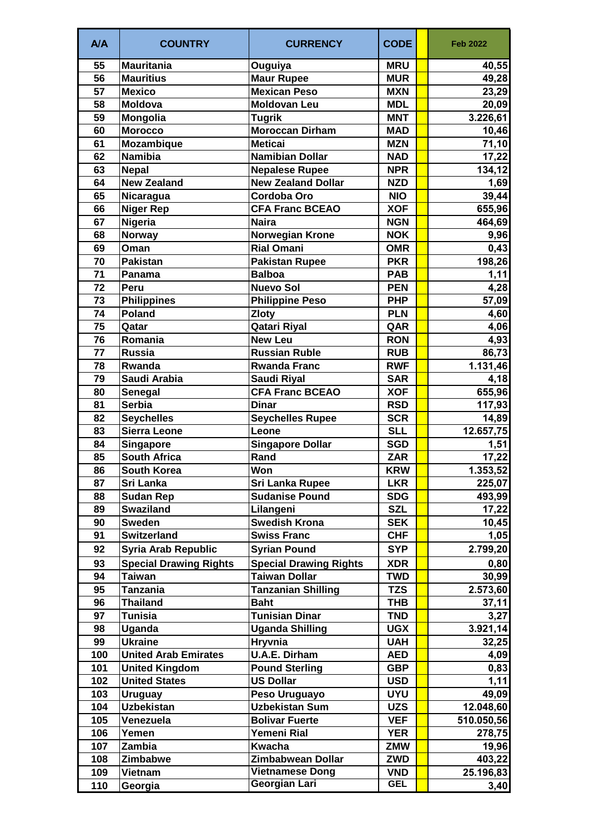| A/A             | <b>COUNTRY</b>                | <b>CURRENCY</b>               | <b>CODE</b> | <b>Feb 2022</b> |
|-----------------|-------------------------------|-------------------------------|-------------|-----------------|
| 55              | <b>Mauritania</b>             | Ouguiya                       | <b>MRU</b>  | 40,55           |
| 56              | <b>Mauritius</b>              | <b>Maur Rupee</b>             | <b>MUR</b>  | 49,28           |
| $\overline{57}$ | <b>Mexico</b>                 | <b>Mexican Peso</b>           | <b>MXN</b>  | 23,29           |
| 58              | <b>Moldova</b>                | <b>Moldovan Leu</b>           | <b>MDL</b>  | 20,09           |
| 59              | Mongolia                      | <b>Tugrik</b>                 | <b>MNT</b>  | 3.226,61        |
| 60              | <b>Morocco</b>                | <b>Moroccan Dirham</b>        | <b>MAD</b>  | 10,46           |
| 61              | <b>Mozambique</b>             | <b>Meticai</b>                | <b>MZN</b>  | 71,10           |
| 62              | <b>Namibia</b>                | <b>Namibian Dollar</b>        | <b>NAD</b>  | 17,22           |
| 63              | <b>Nepal</b>                  | <b>Nepalese Rupee</b>         | <b>NPR</b>  | 134,12          |
| 64              | <b>New Zealand</b>            | <b>New Zealand Dollar</b>     | <b>NZD</b>  | 1,69            |
| 65              | Nicaragua                     | Cordoba Oro                   | <b>NIO</b>  | 39,44           |
| 66              | <b>Niger Rep</b>              | <b>CFA Franc BCEAO</b>        | <b>XOF</b>  | 655,96          |
| 67              | <b>Nigeria</b>                | <b>Naira</b>                  | <b>NGN</b>  | 464,69          |
| 68              | <b>Norway</b>                 | <b>Norwegian Krone</b>        | <b>NOK</b>  | 9,96            |
| 69              | Oman                          | <b>Rial Omani</b>             | <b>OMR</b>  | 0,43            |
| 70              | <b>Pakistan</b>               | <b>Pakistan Rupee</b>         | <b>PKR</b>  | 198,26          |
| 71              | Panama                        | <b>Balboa</b>                 | <b>PAB</b>  | 1,11            |
| 72              | Peru                          | <b>Nuevo Sol</b>              | <b>PEN</b>  | 4,28            |
| 73              | <b>Philippines</b>            | <b>Philippine Peso</b>        | <b>PHP</b>  | 57,09           |
| 74              | <b>Poland</b>                 | <b>Zloty</b>                  | <b>PLN</b>  | 4,60            |
| 75              | Qatar                         | Qatari Riyal                  | QAR         | 4,06            |
| 76              | Romania                       | <b>New Leu</b>                | <b>RON</b>  | 4,93            |
| 77              | <b>Russia</b>                 | <b>Russian Ruble</b>          | <b>RUB</b>  | 86,73           |
| 78              | Rwanda                        | <b>Rwanda Franc</b>           | <b>RWF</b>  | 1.131,46        |
| 79              | Saudi Arabia                  | Saudi Riyal                   | <b>SAR</b>  | 4,18            |
| 80              | Senegal                       | <b>CFA Franc BCEAO</b>        | <b>XOF</b>  | 655,96          |
| 81              | <b>Serbia</b>                 | <b>Dinar</b>                  | <b>RSD</b>  | 117,93          |
| 82              | <b>Seychelles</b>             | <b>Seychelles Rupee</b>       | <b>SCR</b>  | 14,89           |
| 83              | <b>Sierra Leone</b>           | Leone                         | <b>SLL</b>  | 12.657,75       |
| 84              | <b>Singapore</b>              | <b>Singapore Dollar</b>       | <b>SGD</b>  | 1,51            |
| 85              | <b>South Africa</b>           | Rand                          | <b>ZAR</b>  | 17,22           |
| 86              | <b>South Korea</b>            | Won                           | <b>KRW</b>  | 1.353,52        |
| 87              | Sri Lanka                     | <b>Sri Lanka Rupee</b>        | <b>LKR</b>  | 225,07          |
| 88              | <b>Sudan Rep</b>              | <b>Sudanise Pound</b>         | <b>SDG</b>  | 493,99          |
| 89              | <b>Swaziland</b>              | Lilangeni                     | <b>SZL</b>  | 17,22           |
| 90              | <b>Sweden</b>                 | <b>Swedish Krona</b>          | <b>SEK</b>  | 10,45           |
| 91              | <b>Switzerland</b>            | <b>Swiss Franc</b>            | <b>CHF</b>  | 1,05            |
| 92              | <b>Syria Arab Republic</b>    | <b>Syrian Pound</b>           | <b>SYP</b>  | 2.799,20        |
| 93              | <b>Special Drawing Rights</b> | <b>Special Drawing Rights</b> | <b>XDR</b>  | 0,80            |
| 94              | Taiwan                        | Taiwan Dollar                 | <b>TWD</b>  | 30,99           |
| 95              | Tanzania                      | <b>Tanzanian Shilling</b>     | <b>TZS</b>  | 2.573,60        |
| 96              | <b>Thailand</b>               | <b>Baht</b>                   | <b>THB</b>  | 37,11           |
| 97              | <b>Tunisia</b>                | <b>Tunisian Dinar</b>         | <b>TND</b>  | 3,27            |
| 98              | Uganda                        | <b>Uganda Shilling</b>        | <b>UGX</b>  | 3.921,14        |
| 99              | <b>Ukraine</b>                | <b>Hryvnia</b>                | <b>UAH</b>  | 32,25           |
| 100             | <b>United Arab Emirates</b>   | <b>U.A.E. Dirham</b>          | <b>AED</b>  | 4,09            |
| 101             | <b>United Kingdom</b>         | <b>Pound Sterling</b>         | <b>GBP</b>  | 0,83            |
| 102             | <b>United States</b>          | <b>US Dollar</b>              | <b>USD</b>  | 1,11            |
| 103             | <b>Uruguay</b>                | Peso Uruguayo                 | <b>UYU</b>  | 49,09           |
| 104             | <b>Uzbekistan</b>             | <b>Uzbekistan Sum</b>         | <b>UZS</b>  | 12.048,60       |
| 105             | Venezuela                     | <b>Bolivar Fuerte</b>         | <b>VEF</b>  | 510.050,56      |
| 106             | Yemen                         | Yemeni Rial                   | <b>YER</b>  | 278,75          |
| 107             | Zambia                        | Kwacha                        | <b>ZMW</b>  | 19,96           |
| 108             | Zimbabwe                      | Zimbabwean Dollar             | <b>ZWD</b>  | 403,22          |
| 109             | Vietnam                       | <b>Vietnamese Dong</b>        | <b>VND</b>  | 25.196,83       |
| 110             | Georgia                       | Georgian Lari                 | <b>GEL</b>  | 3,40            |